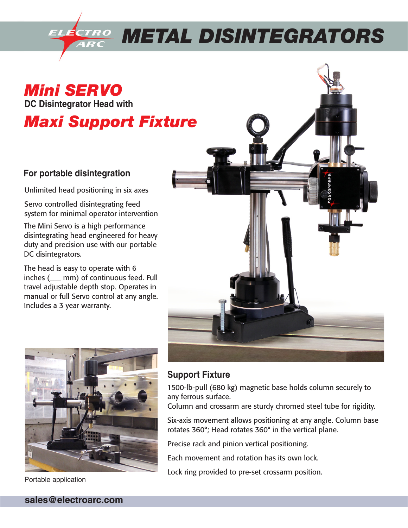

*Mini SERVO*  **DC Disintegrator Head with**

## *Maxi Support Fixture*

## **For portable disintegration**

Unlimited head positioning in six axes

Servo controlled disintegrating feed system for minimal operator intervention

The Mini Servo is a high performance disintegrating head engineered for heavy duty and precision use with our portable DC disintegrators.

The head is easy to operate with 6 inches (\_\_\_ mm) of continuous feed. Full travel adjustable depth stop. Operates in manual or full Servo control at any angle. Includes a 3 year warranty.





**Support Fixture**

1500-lb-pull (680 kg) magnetic base holds column securely to any ferrous surface.

Column and crossarm are sturdy chromed steel tube for rigidity.

Six-axis movement allows positioning at any angle. Column base rotates 360°; Head rotates 360° in the vertical plane.

Precise rack and pinion vertical positioning.

Each movement and rotation has its own lock.

Lock ring provided to pre-set crossarm position.

Portable application